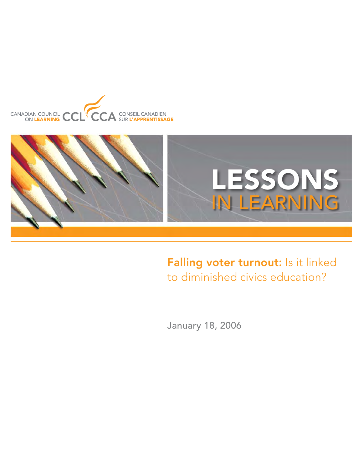



# Falling voter turnout: Is it linked to diminished civics education?

January 18, 2006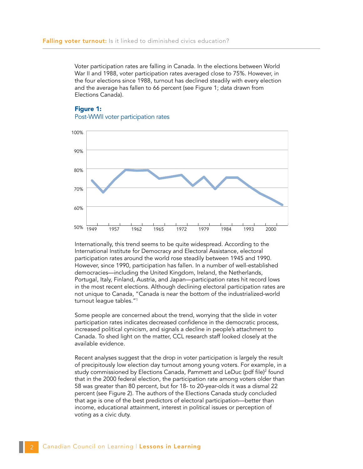Voter participation rates are falling in Canada. In the elections between World War II and 1988, voter participation rates averaged close to 75%. However, in the four elections since 1988, turnout has declined steadily with every election and the average has fallen to 66 percent (see Figure 1; data drawn from Elections Canada).

## **Figure 1:** Post-WWII voter participation rates



Internationally, this trend seems to be quite widespread. According to the International Institute for Democracy and Electoral Assistance, electoral participation rates around the world rose steadily between 1945 and 1990. However, since 1990, participation has fallen. In a number of well-established democracies—including the United Kingdom, Ireland, the Netherlands, Portugal, Italy, Finland, Austria, and Japan—participation rates hit record lows in the most recent elections. Although declining electoral participation rates are not unique to Canada, "Canada is near the bottom of the industrialized-world turnout league tables."1

Some people are concerned about the trend, worrying that the slide in voter participation rates indicates decreased confidence in the democratic process, increased political cynicism, and signals a decline in people's attachment to Canada. To shed light on the matter, CCL research staff looked closely at the available evidence.

Recent analyses suggest that the drop in voter participation is largely the result of precipitously low election day turnout among young voters. For example, in a study commissioned by Elections Canada, Pammett and LeDuc (pdf file)<sup>2</sup> found that in the 2000 federal election, the participation rate among voters older than 58 was greater than 80 percent, but for 18- to 20-year-olds it was a dismal 22 percent (see Figure 2). The authors of the Elections Canada study concluded that age is one of the best predictors of electoral participation—better than income, educational attainment, interest in political issues or perception of voting as a civic duty.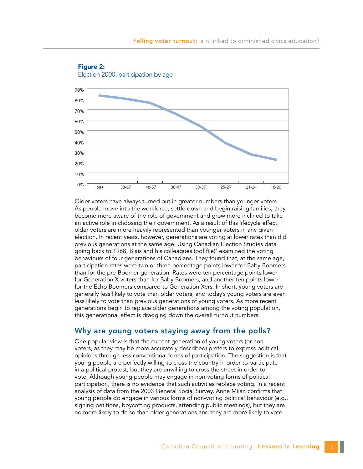



Older voters have always turned out in greater numbers than younger voters. As people move into the workforce, settle down and begin raising families, they become more aware of the role of government and grow more inclined to take an active role in choosing their government. As a result of this lifecycle effect, older voters are more heavily represented than younger voters in any given election. In recent years, however, generations are voting at lower rates than did previous generations at the same age. Using Canadian Election Studies data going back to 1968, Blais and his colleagues (pdf file)<sup>3</sup> examined the voting behaviours of four generations of Canadians. They found that, at the same age, participation rates were two or three percentage points lower for Baby Boomers than for the pre-Boomer generation. Rates were ten percentage points lower for Generation X voters than for Baby Boomers, and another ten points lower for the Echo Boomers compared to Generation Xers. In short, young voters are generally less likely to vote than older voters, and today's young voters are even less likely to vote than previous generations of young voters. As more recent generations begin to replace older generations among the voting population, this generational effect is dragging down the overall turnout numbers.

## Why are young voters staying away from the polls?

One popular view is that the current generation of young voters (or nonvoters, as they may be more accurately described) prefers to express political opinions through less conventional forms of participation. The suggestion is that young people are perfectly willing to cross the country in order to participate in a political protest, but they are unwilling to cross the street in order to vote. Although young people may engage in non-voting forms of political participation, there is no evidence that such activities replace voting. In a recent analysis of data from the 2003 General Social Survey, Anne Milan confirms that young people do engage in various forms of non-voting political behaviour (e.g., signing petitions, boycotting products, attending public meetings), but they are no more likely to do so than older generations and they are more likely to vote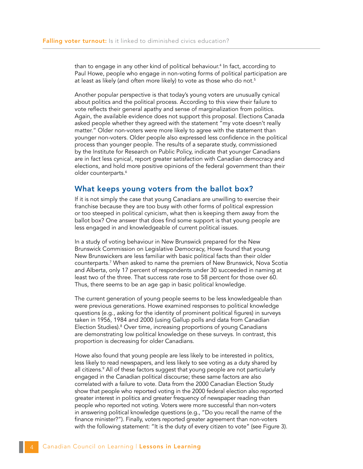than to engage in any other kind of political behaviour.<sup>4</sup> In fact, according to Paul Howe, people who engage in non-voting forms of political participation are at least as likely (and often more likely) to vote as those who do not.<sup>5</sup>

Another popular perspective is that today's young voters are unusually cynical about politics and the political process. According to this view their failure to vote reflects their general apathy and sense of marginalization from politics. Again, the available evidence does not support this proposal. Elections Canada asked people whether they agreed with the statement "my vote doesn't really matter." Older non-voters were more likely to agree with the statement than younger non-voters. Older people also expressed less confidence in the political process than younger people. The results of a separate study, commissioned by the Institute for Research on Public Policy, indicate that younger Canadians are in fact less cynical, report greater satisfaction with Canadian democracy and elections, and hold more positive opinions of the federal government than their older counterparts.<sup>6</sup>

## What keeps young voters from the ballot box?

If it is not simply the case that young Canadians are unwilling to exercise their franchise because they are too busy with other forms of political expression or too steeped in political cynicism, what then is keeping them away from the ballot box? One answer that does find some support is that young people are less engaged in and knowledgeable of current political issues.

In a study of voting behaviour in New Brunswick prepared for the New Brunswick Commission on Legislative Democracy, Howe found that young New Brunswickers are less familiar with basic political facts than their older counterparts.7 When asked to name the premiers of New Brunswick, Nova Scotia and Alberta, only 17 percent of respondents under 30 succeeded in naming at least two of the three. That success rate rose to 58 percent for those over 60. Thus, there seems to be an age gap in basic political knowledge.

The current generation of young people seems to be less knowledgeable than were previous generations. Howe examined responses to political knowledge questions (e.g., asking for the identity of prominent political figures) in surveys taken in 1956, 1984 and 2000 (using Gallup polls and data from Canadian Election Studies).<sup>8</sup> Over time, increasing proportions of young Canadians are demonstrating low political knowledge on these surveys. In contrast, this proportion is decreasing for older Canadians.

Howe also found that young people are less likely to be interested in politics, less likely to read newspapers, and less likely to see voting as a duty shared by all citizens.9 All of these factors suggest that young people are not particularly engaged in the Canadian political discourse; these same factors are also correlated with a failure to vote. Data from the 2000 Canadian Election Study show that people who reported voting in the 2000 federal election also reported greater interest in politics and greater frequency of newspaper reading than people who reported not voting. Voters were more successful than non-voters in answering political knowledge questions (e.g., "Do you recall the name of the finance minister?"). Finally, voters reported greater agreement than non-voters with the following statement: "It is the duty of every citizen to vote" (see Figure 3).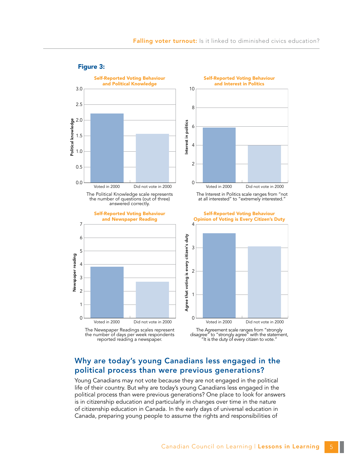

#### Figure 3:

The Newspaper Readings scales represent the number of days per week respondents reported reading a newspaper.

Voted in 2000 Did not vote in 2000 0 2 4 6 8 10 Self-Reported Voting Behaviour and Interest in Politics

The Interest in Politics scale ranges from "not at all interested" to "extremely interested."

Self-Reported Voting Behaviour Opinion of Voting is Every Citizen's Duty



The Agreement scale ranges from "strongly disagree" to "strongly agree" with the statement, "It is the duty of every citizen to vote."

# Why are today's young Canadians less engaged in the political process than were previous generations?

Young Canadians may not vote because they are not engaged in the political life of their country. But why are today's young Canadians less engaged in the political process than were previous generations? One place to look for answers is in citizenship education and particularly in changes over time in the nature of citizenship education in Canada. In the early days of universal education in Canada, preparing young people to assume the rights and responsibilities of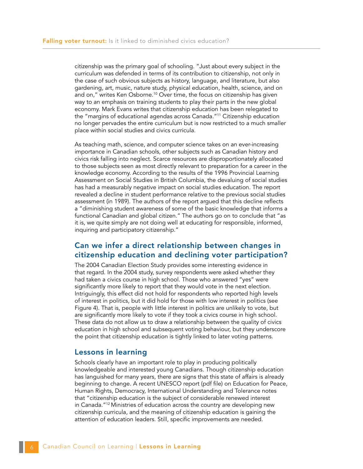citizenship was the primary goal of schooling. "Just about every subject in the curriculum was defended in terms of its contribution to citizenship, not only in the case of such obvious subjects as history, language, and literature, but also gardening, art, music, nature study, physical education, health, science, and on and on," writes Ken Osborne.<sup>10</sup> Over time, the focus on citizenship has given way to an emphasis on training students to play their parts in the new global economy. Mark Evans writes that citizenship education has been relegated to the "margins of educational agendas across Canada."11 Citizenship education no longer pervades the entire curriculum but is now restricted to a much smaller place within social studies and civics curricula.

As teaching math, science, and computer science takes on an ever-increasing importance in Canadian schools, other subjects such as Canadian history and civics risk falling into neglect. Scarce resources are disproportionately allocated to those subjects seen as most directly relevant to preparation for a career in the knowledge economy. According to the results of the 1996 Provincial Learning Assessment on Social Studies in British Columbia, the devaluing of social studies has had a measurably negative impact on social studies education. The report revealed a decline in student performance relative to the previous social studies assessment (in 1989). The authors of the report argued that this decline reflects a "diminishing student awareness of some of the basic knowledge that informs a functional Canadian and global citizen." The authors go on to conclude that "as it is, we quite simply are not doing well at educating for responsible, informed, inquiring and participatory citizenship."

# Can we infer a direct relationship between changes in citizenship education and declining voter participation?

The 2004 Canadian Election Study provides some interesting evidence in that regard. In the 2004 study, survey respondents were asked whether they had taken a civics course in high school. Those who answered "yes" were significantly more likely to report that they would vote in the next election. Intriguingly, this effect did not hold for respondents who reported high levels of interest in politics, but it did hold for those with low interest in politics (see Figure 4). That is, people with little interest in politics are unlikely to vote, but are significantly more likely to vote if they took a civics course in high school. These data do not allow us to draw a relationship between the quality of civics education in high school and subsequent voting behaviour, but they underscore the point that citizenship education is tightly linked to later voting patterns.

## Lessons in learning

Schools clearly have an important role to play in producing politically knowledgeable and interested young Canadians. Though citizenship education has languished for many years, there are signs that this state of affairs is already beginning to change. A recent UNESCO report (pdf file) on Education for Peace, Human Rights, Democracy, International Understanding and Tolerance notes that "citizenship education is the subject of considerable renewed interest in Canada."12 Ministries of education across the country are developing new citizenship curricula, and the meaning of citizenship education is gaining the attention of education leaders. Still, specific improvements are needed.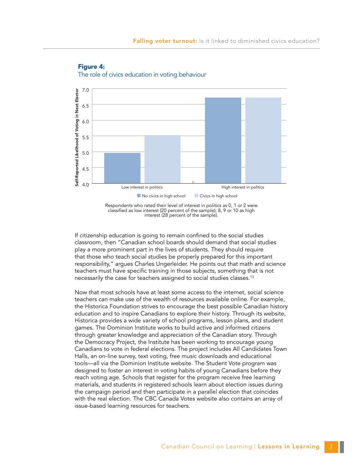



Respondents who rated their level of interest in politics as 0, 1 or 2 were classified as low interest (20 percent of the sample); 8, 9 or 10 as high interest (28 percent of the sample).

If citizenship education is going to remain confined to the social studies classroom, then "Canadian school boards should demand that social studies play a more prominent part in the lives of students. They should require that those who teach social studies be properly prepared for this important responsibility," argues Charles Ungerleider. He points out that math and science teachers must have specific training in those subjects, something that is not necessarily the case for teachers assigned to social studies classes.<sup>13</sup>

Now that most schools have at least some access to the internet, social science teachers can make use of the wealth of resources available online. For example, the Historica Foundation strives to encourage the best possible Canadian history education and to inspire Canadians to explore their history. Through its website, Historica provides a wide variety of school programs, lesson plans, and student games. The Dominion Institute works to build active and informed citizens through greater knowledge and appreciation of the Canadian story. Through the Democracy Project, the Institute has been working to encourage young Canadians to vote in federal elections. The project includes All Candidates Town Halls, an on-line survey, text voting, free music downloads and educational tools—all via the Dominion Institute website. The Student Vote program was designed to foster an interest in voting habits of young Canadians before they reach voting age. Schools that register for the program receive free learning materials, and students in registered schools learn about election issues during the campaign period and then participate in a parallel election that coincides with the real election. The CBC Canada Votes website also contains an array of issue-based learning resources for teachers.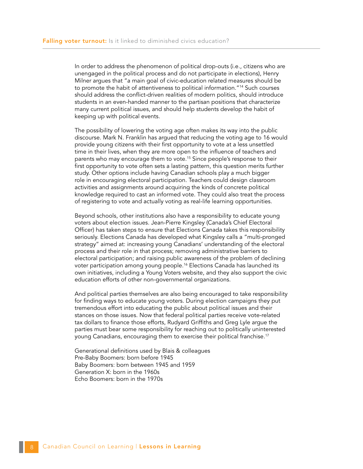In order to address the phenomenon of political drop-outs (i.e., citizens who are unengaged in the political process and do not participate in elections), Henry Milner argues that "a main goal of civic-education related measures should be to promote the habit of attentiveness to political information."14 Such courses should address the conflict-driven realities of modern politics, should introduce students in an even-handed manner to the partisan positions that characterize many current political issues, and should help students develop the habit of keeping up with political events.

The possibility of lowering the voting age often makes its way into the public discourse. Mark N. Franklin has argued that reducing the voting age to 16 would provide young citizens with their first opportunity to vote at a less unsettled time in their lives, when they are more open to the influence of teachers and parents who may encourage them to vote.<sup>15</sup> Since people's response to their first opportunity to vote often sets a lasting pattern, this question merits further study. Other options include having Canadian schools play a much bigger role in encouraging electoral participation. Teachers could design classroom activities and assignments around acquiring the kinds of concrete political knowledge required to cast an informed vote. They could also treat the process of registering to vote and actually voting as real-life learning opportunities.

Beyond schools, other institutions also have a responsibility to educate young voters about election issues. Jean-Pierre Kingsley (Canada's Chief Electoral Officer) has taken steps to ensure that Elections Canada takes this responsibility seriously. Elections Canada has developed what Kingsley calls a "multi-pronged strategy" aimed at: increasing young Canadians' understanding of the electoral process and their role in that process; removing administrative barriers to electoral participation; and raising public awareness of the problem of declining voter participation among young people.<sup>16</sup> Elections Canada has launched its own initiatives, including a Young Voters website, and they also support the civic education efforts of other non-governmental organizations.

And political parties themselves are also being encouraged to take responsibility for finding ways to educate young voters. During election campaigns they put tremendous effort into educating the public about political issues and their stances on those issues. Now that federal political parties receive vote-related tax dollars to finance those efforts, Rudyard Griffiths and Greg Lyle argue the parties must bear some responsibility for reaching out to politically uninterested young Canadians, encouraging them to exercise their political franchise.17

Generational definitions used by Blais & colleagues Pre-Baby Boomers: born before 1945 Baby Boomers: born between 1945 and 1959 Generation X: born in the 1960s Echo Boomers: born in the 1970s